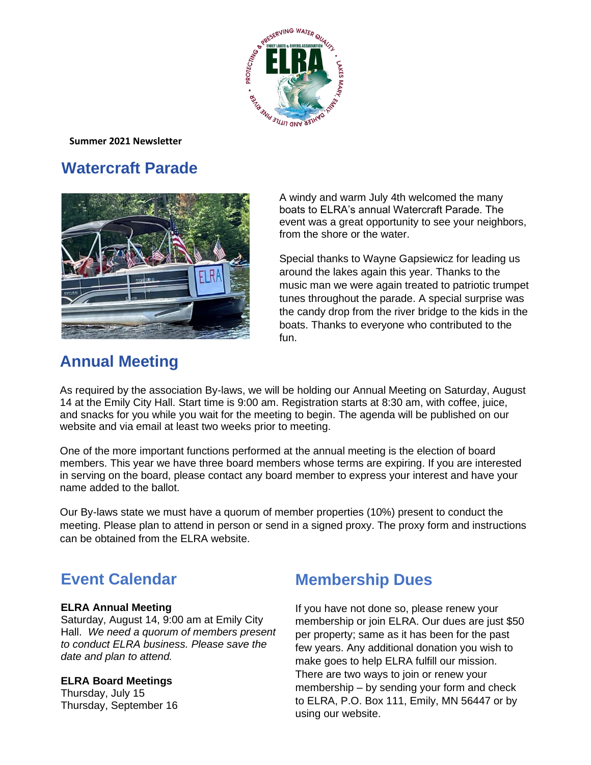

**Summer 2021 Newsletter**

## **Watercraft Parade**



A windy and warm July 4th welcomed the many boats to ELRA's annual Watercraft Parade. The event was a great opportunity to see your neighbors, from the shore or the water.

Special thanks to Wayne Gapsiewicz for leading us around the lakes again this year. Thanks to the music man we were again treated to patriotic trumpet tunes throughout the parade. A special surprise was the candy drop from the river bridge to the kids in the boats. Thanks to everyone who contributed to the fun.

# **Annual Meeting**

As required by the association By-laws, we will be holding our Annual Meeting on Saturday, August 14 at the Emily City Hall. Start time is 9:00 am. Registration starts at 8:30 am, with coffee, juice, and snacks for you while you wait for the meeting to begin. The agenda will be published on our website and via email at least two weeks prior to meeting.

One of the more important functions performed at the annual meeting is the election of board members. This year we have three board members whose terms are expiring. If you are interested in serving on the board, please contact any board member to express your interest and have your name added to the ballot.

Our By-laws state we must have a quorum of member properties (10%) present to conduct the meeting. Please plan to attend in person or send in a signed proxy. The proxy form and instructions can be obtained from the ELRA website.

# **Event Calendar**

### **ELRA Annual Meeting**

Saturday, August 14, 9:00 am at Emily City Hall. *We need a quorum of members present to conduct ELRA business. Please save the date and plan to attend.* 

### **ELRA Board Meetings**

Thursday, July 15 Thursday, September 16

# **Membership Dues**

If you have not done so, please renew your membership or join ELRA. Our dues are just \$50 per property; same as it has been for the past few years. Any additional donation you wish to make goes to help ELRA fulfill our mission. There are two ways to join or renew your membership – by sending your form and check to ELRA, P.O. Box 111, Emily, MN 56447 or by using our website.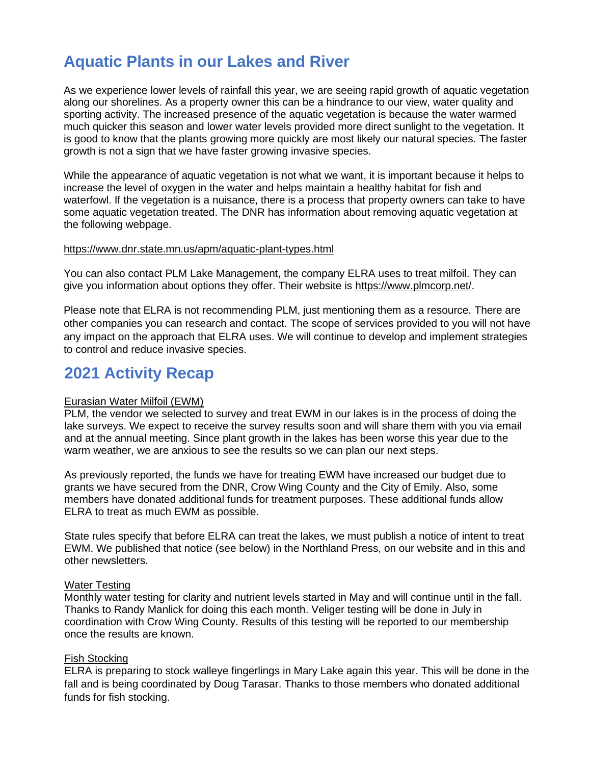## **Aquatic Plants in our Lakes and River**

As we experience lower levels of rainfall this year, we are seeing rapid growth of aquatic vegetation along our shorelines. As a property owner this can be a hindrance to our view, water quality and sporting activity. The increased presence of the aquatic vegetation is because the water warmed much quicker this season and lower water levels provided more direct sunlight to the vegetation. It is good to know that the plants growing more quickly are most likely our natural species. The faster growth is not a sign that we have faster growing invasive species.

While the appearance of aquatic vegetation is not what we want, it is important because it helps to increase the level of oxygen in the water and helps maintain a healthy habitat for fish and waterfowl. If the vegetation is a nuisance, there is a process that property owners can take to have some aquatic vegetation treated. The DNR has information about removing aquatic vegetation at the following webpage.

#### [https://www.dnr.state.mn.us/apm/aquatic-plant-types.html](https://na01.safelinks.protection.outlook.com/?url=https%3A%2F%2Fr20.rs6.net%2Ftn.jsp%3Ff%3D001EBb6WMIwJHJhByl1iciMKtnMw3zrukrOgIOyZ7NbUMR254ALFCx7tA7Ra8bFxF-H8QA30Q3CfB0I62lOJZ497nHbAcPXnfpOndBHnTfrlFtA5S5XZ2BIXu8qOQGWf9BliOjyGLBROn4etV_RQTSBnoB-ctOxZ8zxUHTKBIZjRPFDiBLwzL_K7xudiRsarXIP%26c%3DHROUaPLgSoAPlflXYDBS5O3QmTbbb-kc0N-_TWVyeL5XjDES6AlMcw%3D%3D%26ch%3D3a7cvs8TB3Mmk7Cot3e2q8kUPjJ0qcclw-WcXboyUMbJKyawXeM2pg%3D%3D&data=04%7C01%7C%7C87be63260c7748206b6a08d945137346%7C84df9e7fe9f640afb435aaaaaaaaaaaa%7C1%7C0%7C637616772102420427%7CUnknown%7CTWFpbGZsb3d8eyJWIjoiMC4wLjAwMDAiLCJQIjoiV2luMzIiLCJBTiI6Ik1haWwiLCJXVCI6Mn0%3D%7C1000&sdata=FiA7IwpguZ8hWcvpNL7NR8u59HghBuYFADzE9euNfBQ%3D&reserved=0)

You can also contact PLM Lake Management, the company ELRA uses to treat milfoil. They can give you information about options they offer. Their website is [https://www.plmcorp.net/.](https://na01.safelinks.protection.outlook.com/?url=https%3A%2F%2Fr20.rs6.net%2Ftn.jsp%3Ff%3D001EBb6WMIwJHJhByl1iciMKtnMw3zrukrOgIOyZ7NbUMR254ALFCx7tA7Ra8bFxF-HUb80kDK6IGd_w5f9ezXFbMe_m3oG-XrDwqhaqdgH2Unp2C5Efb2tsKeTXx3YyUKTvn_7mxgAXDmJMu68gxG6aw%3D%3D%26c%3DHROUaPLgSoAPlflXYDBS5O3QmTbbb-kc0N-_TWVyeL5XjDES6AlMcw%3D%3D%26ch%3D3a7cvs8TB3Mmk7Cot3e2q8kUPjJ0qcclw-WcXboyUMbJKyawXeM2pg%3D%3D&data=04%7C01%7C%7C87be63260c7748206b6a08d945137346%7C84df9e7fe9f640afb435aaaaaaaaaaaa%7C1%7C0%7C637616772102430418%7CUnknown%7CTWFpbGZsb3d8eyJWIjoiMC4wLjAwMDAiLCJQIjoiV2luMzIiLCJBTiI6Ik1haWwiLCJXVCI6Mn0%3D%7C1000&sdata=8TUfrW0mqo0N746yt9pjHqhxJs2cova7MovX9zlAtp8%3D&reserved=0)

Please note that ELRA is not recommending PLM, just mentioning them as a resource. There are other companies you can research and contact. The scope of services provided to you will not have any impact on the approach that ELRA uses. We will continue to develop and implement strategies to control and reduce invasive species.

### **2021 Activity Recap**

### Eurasian Water Milfoil (EWM)

PLM, the vendor we selected to survey and treat EWM in our lakes is in the process of doing the lake surveys. We expect to receive the survey results soon and will share them with you via email and at the annual meeting. Since plant growth in the lakes has been worse this year due to the warm weather, we are anxious to see the results so we can plan our next steps.

As previously reported, the funds we have for treating EWM have increased our budget due to grants we have secured from the DNR, Crow Wing County and the City of Emily. Also, some members have donated additional funds for treatment purposes. These additional funds allow ELRA to treat as much EWM as possible.

State rules specify that before ELRA can treat the lakes, we must publish a notice of intent to treat EWM. We published that notice (see below) in the Northland Press, on our website and in this and other newsletters.

#### Water Testing

Monthly water testing for clarity and nutrient levels started in May and will continue until in the fall. Thanks to Randy Manlick for doing this each month. Veliger testing will be done in July in coordination with Crow Wing County. Results of this testing will be reported to our membership once the results are known.

### Fish Stocking

ELRA is preparing to stock walleye fingerlings in Mary Lake again this year. This will be done in the fall and is being coordinated by Doug Tarasar. Thanks to those members who donated additional funds for fish stocking.